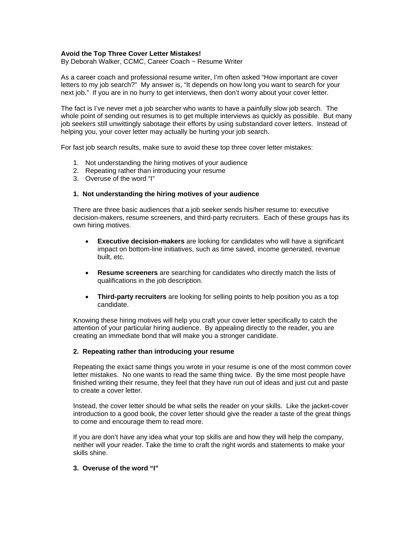## **Avoid the Top Three Cover Letter Mistakes!**

By Deborah Walker, CCMC, Career Coach ~ Resume Writer

As a career coach and professional resume writer, I'm often asked "How important are cover letters to my job search?" My answer is, "It depends on how long you want to search for your next job." If you are in no hurry to get interviews, then don't worry about your cover letter.

The fact is I've never met a job searcher who wants to have a painfully slow job search. The whole point of sending out resumes is to get multiple interviews as quickly as possible. But many job seekers still unwittingly sabotage their efforts by using substandard cover letters. Instead of helping you, your cover letter may actually be hurting your job search.

For fast job search results, make sure to avoid these top three cover letter mistakes:

- 1. Not understanding the hiring motives of your audience
- 2. Repeating rather than introducing your resume
- 3. Overuse of the word "I"

## **1. Not understanding the hiring motives of your audience**

There are three basic audiences that a job seeker sends his/her resume to: executive decision-makers, resume screeners, and third-party recruiters. Each of these groups has its own hiring motives.

- **Executive decision-makers** are looking for candidates who will have a significant impact on bottom-line initiatives, such as time saved, income generated, revenue built, etc.
- **Resume screeners** are searching for candidates who directly match the lists of qualifications in the job description.
- **Third-party recruiters** are looking for selling points to help position you as a top candidate.

Knowing these hiring motives will help you craft your cover letter specifically to catch the attention of your particular hiring audience. By appealing directly to the reader, you are creating an immediate bond that will make you a stronger candidate.

## **2. Repeating rather than introducing your resume**

Repeating the exact same things you wrote in your resume is one of the most common cover letter mistakes. No one wants to read the same thing twice. By the time most people have finished writing their resume, they feel that they have run out of ideas and just cut and paste to create a cover letter.

Instead, the cover letter should be what sells the reader on your skills. Like the jacket-cover introduction to a good book, the cover letter should give the reader a taste of the great things to come and encourage them to read more.

If you are don't have any idea what your top skills are and how they will help the company, neither will your reader. Take the time to craft the right words and statements to make your skills shine.

## **3. Overuse of the word "I"**